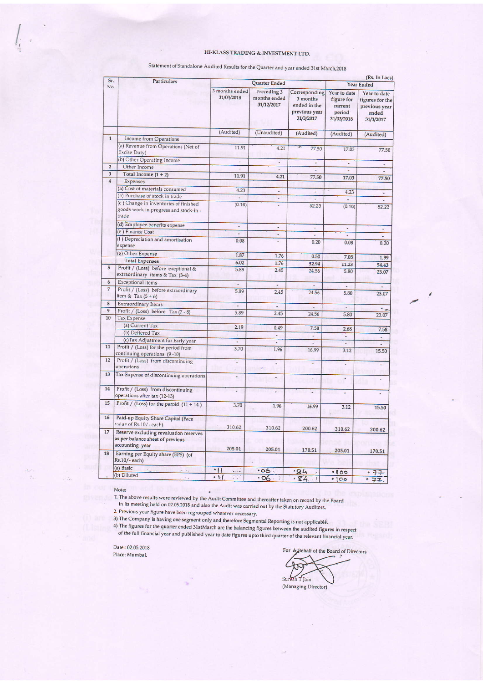### HI-KLASS TRADING & INVESTMENT LTD.

| Sr.<br>No.     | <b>Particulars</b>                                                                            | Quarter Ended                |                                           |                                                                         | (Rs. In Lacs)<br>Year Ended                                   |                                                                        |
|----------------|-----------------------------------------------------------------------------------------------|------------------------------|-------------------------------------------|-------------------------------------------------------------------------|---------------------------------------------------------------|------------------------------------------------------------------------|
|                |                                                                                               | 3 months ended<br>31/03/2018 | Preceding 3<br>months ended<br>31/12/2017 | Corresponding<br>3 months<br>ended in the<br>previous year<br>31/3/2017 | Year to date<br>figure for<br>current<br>period<br>31/03/2018 | Year to date<br>figures for the<br>previous year<br>ended<br>31/3/2017 |
|                |                                                                                               | (Audited)                    | (Unaudited)                               | (Audited)                                                               | (Audited)                                                     | (Audited)                                                              |
| $\overline{1}$ | <b>Income from Operations</b>                                                                 |                              |                                           |                                                                         |                                                               |                                                                        |
|                | (a) Revenue from Operations (Net of<br>Excise Duty)                                           | 11.91                        | 4.21                                      | 77.50                                                                   | 17.03                                                         | 77.50                                                                  |
|                | (b) Other Operating Income                                                                    | ÷.                           | ä,                                        | ÷,                                                                      | ٠                                                             | ÷,                                                                     |
| $\overline{2}$ | Other Income                                                                                  | $\overline{a}$               | $\ddot{\phantom{1}}$                      |                                                                         |                                                               |                                                                        |
| 3              | Total Income $(1 + 2)$                                                                        | 11.91                        | 4.21                                      | 77.50                                                                   | 17.03                                                         | 77.50                                                                  |
| $\overline{4}$ | Expenses                                                                                      |                              |                                           |                                                                         |                                                               |                                                                        |
|                | (a) Cost of materials consumed                                                                | 4.23                         | ÷,                                        | ÷,                                                                      | 4.23                                                          |                                                                        |
|                | (b) Purchase of stock in trade                                                                | L                            |                                           |                                                                         | ٠                                                             | L.                                                                     |
|                | (c) Change in inventories of finished<br>goods work in progress and stock-in -<br>trade       | (0.16)                       | L.                                        | 52.23                                                                   | (0.16)                                                        | 52.23                                                                  |
|                | (d) Employee benefits expense                                                                 | $\overline{\phantom{a}}$     | $\overline{a}$                            | ۷                                                                       | ä,                                                            | ٠                                                                      |
|                | (e) Finance Cost                                                                              | ä,                           | ÷                                         | $\overline{a}$                                                          | ä,                                                            |                                                                        |
|                | (f) Depreciation and amortisation<br>expense                                                  | 0.08                         | ä,                                        | 0.20                                                                    | 0.08                                                          | 0.20                                                                   |
|                | (g) Other Expense                                                                             | 1.87                         | 1.76                                      | 0.50                                                                    | 7.08                                                          | 1.99                                                                   |
|                | <b>Total Expenses</b>                                                                         | 6.02                         | 1.76                                      | 52.94                                                                   | 11.23                                                         | 54.43                                                                  |
| 5              | Profit / (Loss) before exeptional &<br>extraordinary items & Tax (3-4)                        | 5.89                         | 2.45                                      | 24.56                                                                   | 5.80                                                          | 23.07                                                                  |
| 6              | Exceptional items                                                                             | $\frac{1}{2}$                | ¥,                                        | ä,                                                                      | ÷                                                             |                                                                        |
| $\overline{7}$ | Profit / (Loss) before extraordinary<br>item & Tax $(5 + 6)$                                  | 5.89                         | 2.45                                      | 24.56                                                                   | 5.80                                                          | ÷<br>23.07                                                             |
| 8              | <b>Extraordinary Items</b>                                                                    | u,                           | ٠                                         | $\overline{\phantom{a}}$                                                | L.                                                            |                                                                        |
| 9              | Profit / (Loss) before Tax (7 - 8)                                                            | 5.89                         | 2.45                                      | 24.56                                                                   | 5.80                                                          | - 4<br>23.07                                                           |
| 10             | <b>Tax Expense</b>                                                                            |                              |                                           |                                                                         |                                                               |                                                                        |
|                | (a) Current Tax                                                                               | 2.19                         | 0.49                                      | 7.58                                                                    | 2.68                                                          | 7.58                                                                   |
|                | (b) Deffered Tax                                                                              | u                            | ٠                                         | ٠                                                                       | $\overline{\phantom{a}}$                                      | ä,                                                                     |
|                | (c)Tax Adjustment for Early year                                                              | $\overline{\phantom{a}}$     | $\overline{a}$                            | i.                                                                      | ÷,                                                            | ۷                                                                      |
| 11             | Profit / (Loss) for the period from                                                           | 3.70                         | 1.96                                      | 16.99                                                                   | 3.12                                                          | 15.50                                                                  |
|                | continuing operations (9-10)                                                                  |                              |                                           |                                                                         |                                                               |                                                                        |
| 12             | Profit / (Loss) from discontinuing                                                            | P                            | ı,                                        | i.                                                                      | L.                                                            | ÷                                                                      |
|                | operations                                                                                    |                              |                                           |                                                                         |                                                               |                                                                        |
| 13             | Tax Expense of discontinuing operations                                                       | $\overline{a}$               |                                           | ÷                                                                       | r.                                                            | ÷,                                                                     |
| 14             | Profit / (Loss) from discontinuing<br>operations after tax (12-13)                            |                              | J.                                        | ż                                                                       | ۷                                                             |                                                                        |
| 15             | Profit / (Loss) for the peroid $(11 + 14)$                                                    | 3.70                         | 1.96                                      | 16.99                                                                   | 3.12                                                          | 15.50                                                                  |
| 16             | Paid-up Equity Share Capital (Face<br>value of Rs.10/-each)                                   | 310.62                       |                                           |                                                                         |                                                               |                                                                        |
| 17             | Reserve excluding revaluation reserves<br>as per balance sheet of previous<br>accounting year |                              | 310.62                                    | 200.62                                                                  | 310.62                                                        | 200.62                                                                 |
| 18             | Earning per Equity share (EPS) (of<br>Rs.10/-each)                                            | 205.01                       | 205.01                                    | 170.51                                                                  | 205.01                                                        | 170.51                                                                 |
|                | (a) Basic                                                                                     | $\cdot$ II<br>$\ddotsc$      | $-06$ :                                   | .84                                                                     | • 100                                                         | $-77$                                                                  |
|                | (b) Diluted                                                                                   | $\cdot$ 1.<br>$\mathbf{1}$ . | $-06$<br>$\lambda$                        | .84.1                                                                   | • 100                                                         | $-77$                                                                  |

Statement of Standalone Audited Results for the Quarter and year ended 31st March,2018

#### Note:

 $\mathcal{A}$  .

÷.

 $\hat{\mathcal{F}}$ 

 $2/2$ 

T. The above results were reviewed by the Audit Committee and thereafter taken on record by the Board<br>in its meeting held on 02.05.2018 and also the Audit was carried out by the Statutory Auditors.

2. Previous year figure have been regrouped wherever necessary.

3) The Company is having one segment only and therefore Segmental Reporting is not applicable. 4) The figures for the quarter ended 31stMarch are the balancing figures between the audited figures in respect<br>of the full financial year and published year to date figures upto third quarter of the relevant financial yea

Date: 02.05.2018 Place: Mumbai.

For & Behalf of the Board of Directors Suresh T Jain

(Managing Director)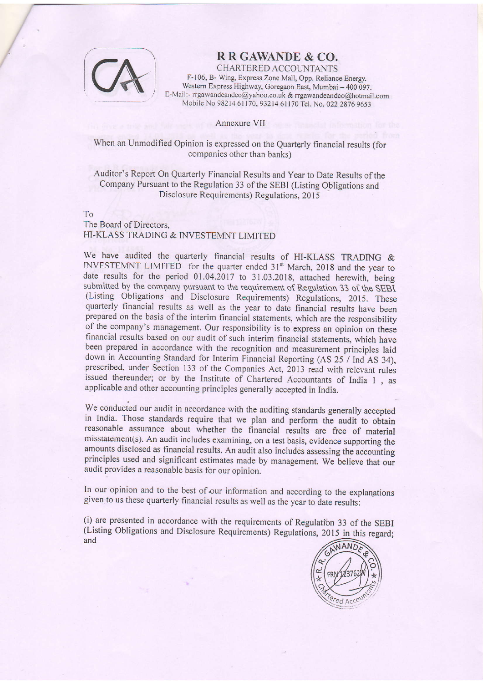

# RRGAWANDE & CO.

CHARTERED ACCOUNTANTS F- 106, B- Wing, Express Zone Mall, Opp. Reliance Energy. Western Express Highway, Goregaon East, Mumbai - 400 097. E-Mail:- rrgawandeandco@yahoo.co.uk & rrgawandeandco@hotmail.com Mobile No 98214 61170, 93214 61170 Tel. No. 022 2876 9653

Annexure VIT

When an Unmodified Opinion is expressed on the Quarterly financial results (for companies other than banks)

Auditor's Report On Quarterly Financial Results and year to Date Results of the Company Pursuant to the Regulation 33 of the SEBI (Listing Obligations and Disclosure Requirements) Regulations, 2015

To

## The Board of Directors, HI-KLASS TRADING & INVESTEMNT LIMITED

We have audited the quarterly financial results of HI-KLASS TRADING & INVESTEMNT LIMITED for the quarter ended 31<sup>st</sup> March, 2018 and the year to date results for the period 01.04.2017 to 31.03.2018, attached herewith, being submitted by the company pursuant to the requirement of Regulation 33 of the SEBI (Listing Obligations and Disclosure Requirements) Regulations, 2015. These quarterly financial results as well as the year to date financial results have been prepared on the basis of the interim financial statements, which are the responsibility of the company's management. Our responsibility is to express an opinion on these financial results based on our audit of such interim financial statements, which have been prepared in accordance with the recognition and measurement principles laid down in Accounting Standard for Interim Financial Reporting (AS 25 / Ind AS 34), prescribed, under Section 133 of the Companies Act, 2013 read with relevant rules issued thereunder; or by the Institute of Chartered Accountants of India 1 , as applicable and other accounting principles generally accepted in India.

We conducted our audit in accordance with the auditing standards generally accepted in India. Those standards require that we plan and perform the audit to obtain reasonable assurance about whether the financial results are free of material  $miss$  talement(s). An audit includes examining, on a test basis, evidence supporting the amounts disclosed as financial results. An audit also includes assessing the accounting principles used and significant estimates made by management. We believe that our audit provides a reasonable basis for our opinion.

In our opinion and to the best of our information and according to the explanations given to us these quarterly financial results as well as the year to date results:

(i) are presented in accordance with the requirements of Regulation 33 of the SEBI (Listing Obligations and Disclosure Requirements) Regulations, 2015 in this regard; and